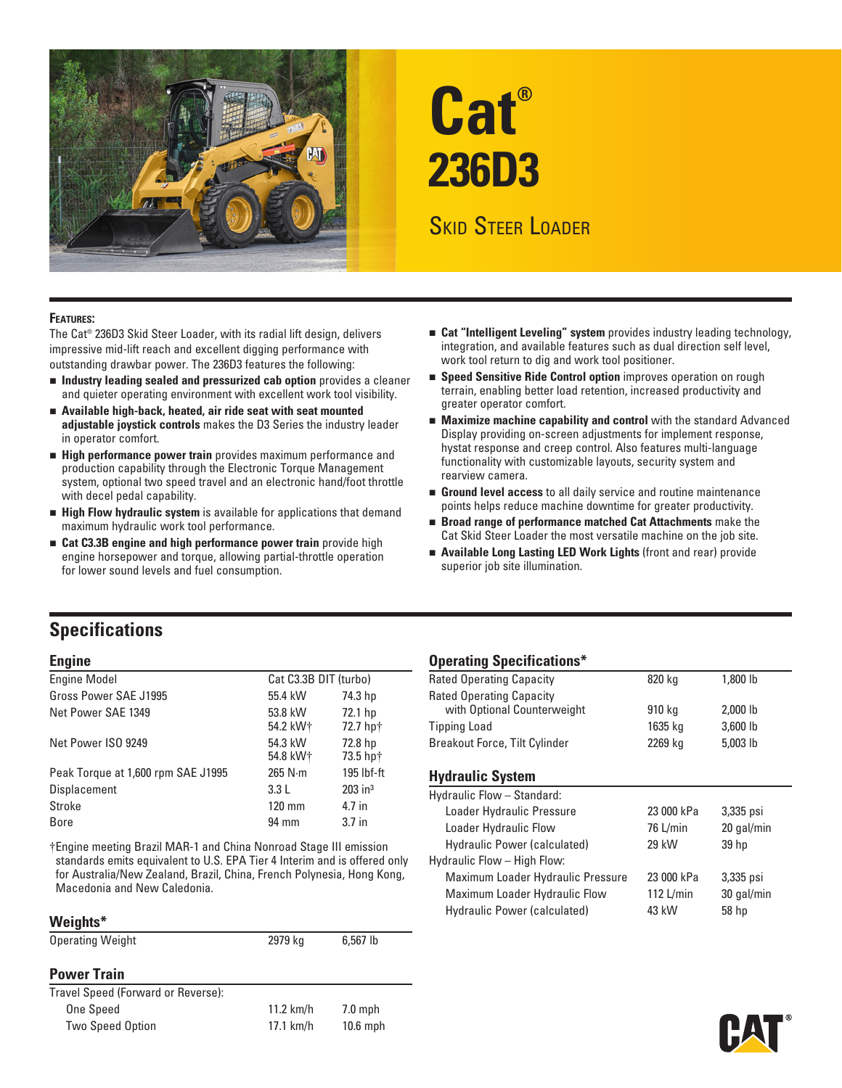

# **Cat® 236D3**

# Skid Steer Loader

#### **Features:**

The Cat® 236D3 Skid Steer Loader, with its radial lift design, delivers impressive mid-lift reach and excellent digging performance with outstanding drawbar power. The 236D3 features the following:

- n **Industry leading sealed and pressurized cab option** provides a cleaner and quieter operating environment with excellent work tool visibility.
- **n** Available high-back, heated, air ride seat with seat mounted **adjustable joystick controls** makes the D3 Series the industry leader in operator comfort.
- **External Performance power train** provides maximum performance and production capability through the Electronic Torque Management system, optional two speed travel and an electronic hand/foot throttle with decel pedal capability.
- **External High Flow hydraulic system** is available for applications that demand maximum hydraulic work tool performance.
- **Example 23.3B engine and high performance power train** provide high engine horsepower and torque, allowing partial-throttle operation for lower sound levels and fuel consumption.
- n **Cat "Intelligent Leveling" system** provides industry leading technology, integration, and available features such as dual direction self level, work tool return to dig and work tool positioner.
- **Example 3 Speed Sensitive Ride Control option** improves operation on rough terrain, enabling better load retention, increased productivity and greater operator comfort.
- **Maximize machine capability and control** with the standard Advanced Display providing on-screen adjustments for implement response, hystat response and creep control. Also features multi-language functionality with customizable layouts, security system and rearview camera.
- **Ground level access** to all daily service and routine maintenance points helps reduce machine downtime for greater productivity.
- **Example 3 Is a Performance matched Cat Attachments** make the Cat Skid Steer Loader the most versatile machine on the job site.
- **E** Available Long Lasting LED Work Lights (front and rear) provide superior job site illumination.

## **Specifications**

| <b>Engine Model</b>                | Cat C3.3B DIT (turbo) |                       |
|------------------------------------|-----------------------|-----------------------|
| Gross Power SAE J1995              | 55.4 kW               | 74.3 hp               |
| Net Power SAE 1349                 | 53.8 kW<br>54.2 kW†   | 72.1 hp<br>72.7 hp†   |
| Net Power ISO 9249                 | 54.3 kW<br>54.8 kW+   | 72.8 hp<br>73.5 hp†   |
| Peak Torque at 1,600 rpm SAE J1995 | $265$ N $\cdot$ m     | 195 lbf-ft            |
| <b>Displacement</b>                | 3.3L                  | $203$ in <sup>3</sup> |
| Stroke                             | $120 \text{ mm}$      | 4.7 in                |
| <b>Bore</b>                        | 94 mm                 | 3.7 <sub>in</sub>     |

†Engine meeting Brazil MAR-1 and China Nonroad Stage III emission standards emits equivalent to U.S. EPA Tier 4 Interim and is offered only for Australia/New Zealand, Brazil, China, French Polynesia, Hong Kong, Macedonia and New Caledonia.

#### **Weights\***

| <b>Operating Weight</b>            | 2979 kg     | $6,567$ lb |
|------------------------------------|-------------|------------|
| <b>Power Train</b>                 |             |            |
| Travel Speed (Forward or Reverse): |             |            |
| One Speed                          | $11.2$ km/h | $7.0$ mph  |
| <b>Two Speed Option</b>            | $17.1$ km/h | $10.6$ mph |

#### **Engine Operating Specifications\***

| 820 kg  |            |
|---------|------------|
|         | 1,800 lb   |
|         |            |
| 910 kg  | $2,000$ lb |
| 1635 kg | 3,600 lb   |
| 2269 kg | 5,003 lb   |
|         |            |

#### **Hydraulic System**

| 20 gal/min<br>30 gal/min |
|--------------------------|

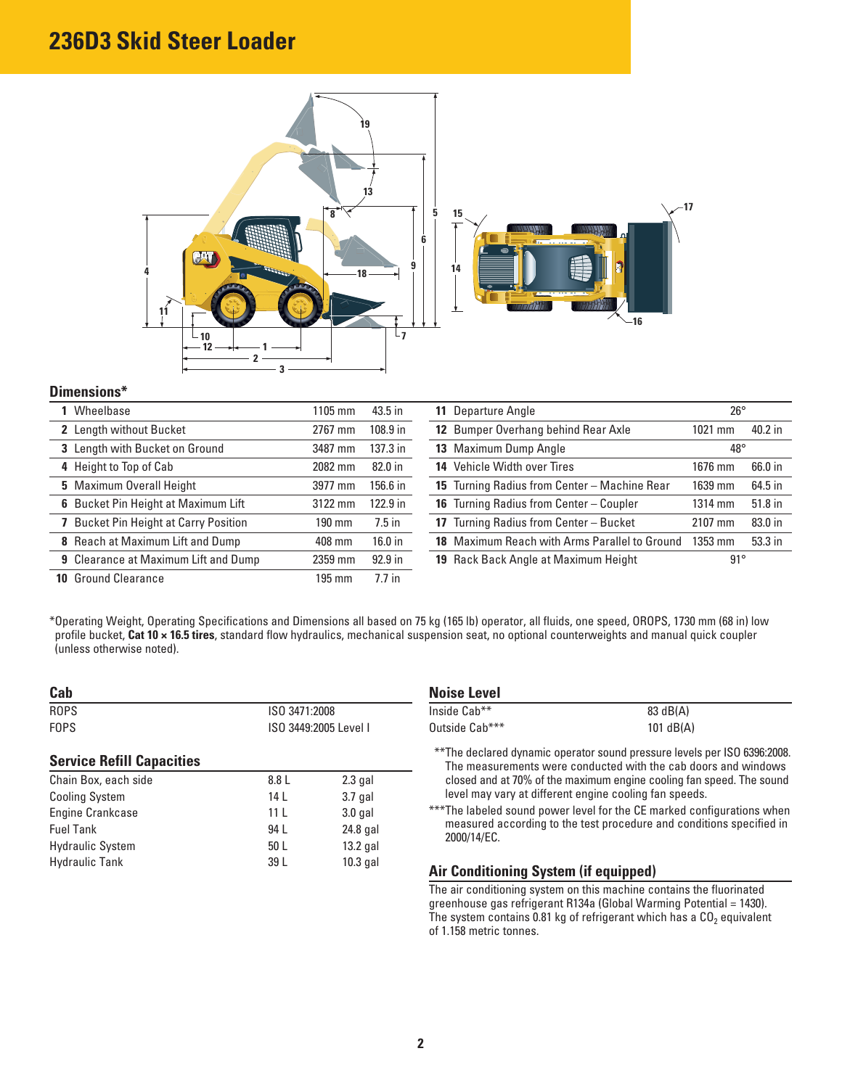# **236D3 Skid Steer Loader**



#### **Dimensions\***

| Wheelbase                                    | 1105 mm | 43.5 in    | 11 Departure Angle                             | $26^{\circ}$ |         |
|----------------------------------------------|---------|------------|------------------------------------------------|--------------|---------|
| 2 Length without Bucket                      | 2767 mm | $108.9$ in | 12 Bumper Overhang behind Rear Axle            | $1021$ mm    | 40.2 in |
| 3 Length with Bucket on Ground               | 3487 mm | 137.3 in   | 13 Maximum Dump Angle                          | $48^{\circ}$ |         |
| 4 Height to Top of Cab                       | 2082 mm | 82.0 in    | 14 Vehicle Width over Tires                    | 1676 mm      | 66.0 in |
| 5 Maximum Overall Height                     | 3977 mm | 156.6 in   | 15 Turning Radius from Center - Machine Rear   | 1639 mm      | 64.5 in |
| 6 Bucket Pin Height at Maximum Lift          | 3122 mm | 122.9 in   | <b>16</b> Turning Radius from Center – Coupler | 1314 mm      | 51.8 in |
| <b>7</b> Bucket Pin Height at Carry Position | 190 mm  | $7.5$ in   | 17 Turning Radius from Center - Bucket         | 2107 mm      | 83.0 in |
| 8 Reach at Maximum Lift and Dump             | 408 mm  | $16.0$ in  | 18 Maximum Reach with Arms Parallel to Ground  | $1353$ mm    | 53.3 in |
| <b>9</b> Clearance at Maximum Lift and Dump  | 2359 mm | $92.9$ in  | 19 Rack Back Angle at Maximum Height           | $91^{\circ}$ |         |
| <b>10 Ground Clearance</b>                   | 195 mm  | $7.7$ in   |                                                |              |         |

\* Operating Weight, Operating Specifications and Dimensions all based on 75 kg (165 lb) operator, all fluids, one speed, OROPS, 1730 mm (68 in) low profile bucket, **Cat 10 × 16.5 tires**, standard flow hydraulics, mechanical suspension seat, no optional counterweights and manual quick coupler (unless otherwise noted).

| Cab                              |                       |            |
|----------------------------------|-----------------------|------------|
| <b>ROPS</b>                      | ISO 3471:2008         |            |
| <b>FOPS</b>                      | ISO 3449:2005 Level I |            |
| <b>Service Refill Capacities</b> |                       |            |
| Chain Box, each side             | 8.8 L                 | $2.3$ gal  |
| <b>Cooling System</b>            | 14 L                  | $3.7$ gal  |
| <b>Engine Crankcase</b>          | 11 <sup>1</sup>       | $3.0$ gal  |
| <b>Fuel Tank</b>                 | 94 I                  | 24.8 gal   |
| <b>Hydraulic System</b>          | 50 L                  | $13.2$ gal |
| <b>Hydraulic Tank</b>            | 39 L                  | 10.3 gal   |

| Noise Level    |             |
|----------------|-------------|
| Inside Cab**   | 83 dB(A)    |
| Outside Cab*** | 101 $dB(A)$ |

\*\*\* The declared dynamic operator sound pressure levels per ISO 6396:2008. The measurements were conducted with the cab doors and windows closed and at 70% of the maximum engine cooling fan speed. The sound level may vary at different engine cooling fan speeds.

\*\*\* The labeled sound power level for the CE marked configurations when measured according to the test procedure and conditions specified in 2000/14/EC.

## **Air Conditioning System (if equipped)**

The air conditioning system on this machine contains the fluorinated greenhouse gas refrigerant R134a (Global Warming Potential = 1430). The system contains 0.81 kg of refrigerant which has a  $CO<sub>2</sub>$  equivalent of 1.158 metric tonnes.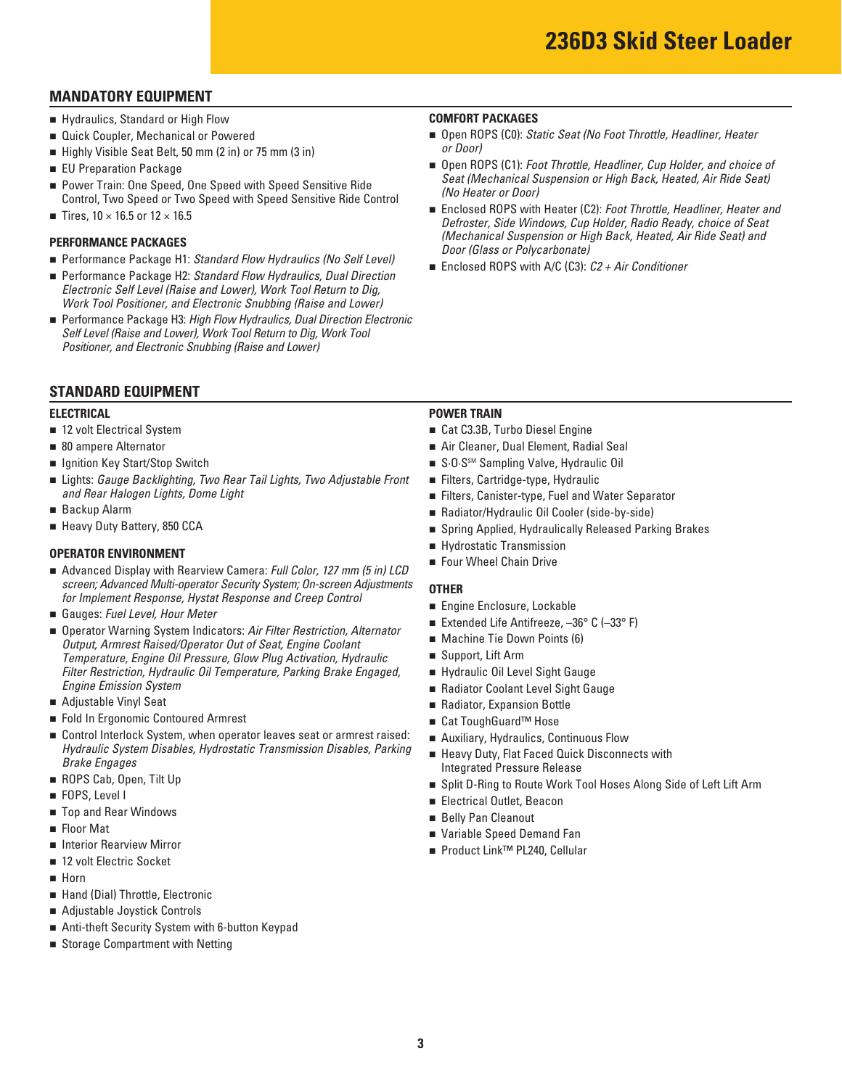## **MANDATORY EQUIPMENT**

- **E** Hydraulics, Standard or High Flow
- **Quick Coupler, Mechanical or Powered**
- Highly Visible Seat Belt, 50 mm (2 in) or 75 mm (3 in)
- **EU Preparation Package**
- Power Train: One Speed, One Speed with Speed Sensitive Ride Control, Two Speed or Two Speed with Speed Sensitive Ride Control
- Tires,  $10 \times 16.5$  or  $12 \times 16.5$

#### **PERFORMANCE PACKAGES**

- Performance Package H1: Standard Flow Hydraulics (No Self Level)
- Performance Package H2: Standard Flow Hydraulics, Dual Direction *Electronic Self Level (Raise and Lower), Work Tool Return to Dig, Work Tool Positioner, and Electronic Snubbing (Raise and Lower)*
- Performance Package H3: *High Flow Hydraulics, Dual Direction Electronic Self Level (Raise and Lower), Work Tool Return to Dig, Work Tool Positioner, and Electronic Snubbing (Raise and Lower)*

## **STANDARD EQUIPMENT**

- 12 volt Electrical System
- 80 ampere Alternator
- **geta** Ignition Key Start/Stop Switch
- n Lights: *Gauge Backlighting, Two Rear Tail Lights, Two Adjustable Front* n Filters, Cartridge-type, Hydraulic and Rear Halogen Lights, Dome Light **now are all real controlled to the Secure Convention** Filters, Canister-type, Fuel and Water Separator
- **Backup Alarm**
- 

- **OPERATOR ENVIRONMENT**<br>■ Advanced Display with Rearview Camera: *Full Color, 127 mm (5 in) LCD* Four Wheel Chain Drive
- Gauges: Fuel Level, Hour Meter
- *Engine Emission System COOLAGER <b>EXECUTE:* **COOLAGER PRADIATE: n** Radiator Coolant Level Sight Gauge screen; Advanced Multi-operator Security System; On-screen Adjustments<br>
for Implement Response, Hystat Response and Creep Control<br>
■ Gauges: Fuel Level, Hour Meter<br>
■ Operator Warning System Indicators: Air Filter Restric **Output, Armrest Raised/Operator Out of Seat, Engine Coolant** *Temperature, Engine Oil Pressure, Glow Plug Activation, Hydraulic* Filter Restriction, Hydraulic Oil Temperature, Parking Brake Engaged,
- Adjustable Vinyl Seat
- Fold In Ergonomic Contoured Armrest n Cat ToughGuard™ Hose
- Control Interlock System, when operator leaves seat or armrest raised: Hydraulic System Disables, Hydrostatic Transmission Disables, Parking<br>Brake Engages<br>Integrated Pressure Release
- ROPS Cab, Open, Tilt Up
- **FOPS, Level I**
- **The Selly Pan Cleanout n** Belly Pan Cleanout
- **Eloor Mat**
- **number 18 Interior Rearview Mirror**
- 12 volt Electric Socket
- n Horn
- **E** Hand (Dial) Throttle, Electronic
- n Adjustable Joystick Controls
- Anti-theft Security System with 6-button Keypad
- **B** Storage Compartment with Netting

#### **COMFORT PACKAGES**

- Open ROPS (C0): *Static Seat (No Foot Throttle, Headliner, Heater or Door)*
- Open ROPS (C1): *Foot Throttle, Headliner, Cup Holder, and choice of Seat (Mechanical Suspension or High Back, Heated, Air Ride Seat) (No Heater or Door)*
- Enclosed ROPS with Heater (C2): *Foot Throttle, Headliner, Heater and Defroster, Side Windows, Cup Holder, Radio Ready, choice of Seat (Mechanical Suspension or High Back, Heated, Air Ride Seat) and Door (Glass or Polycarbonate)*
- Enclosed ROPS with A/C (C3): *C2 + Air Conditioner*

#### **ELECTRICAL POWER TRAIN**

- 12 volt Electrical System n Cat C3.3B, Turbo Diesel Engine
- **1** 80 ampere Alternator **120 ampere Alternator** 1 **Air Cleaner, Dual Element, Radial Seal**
- **n** Ignition Key Start/Stop Switch n S·O·SSM Sampling Valve, Hydraulic Oil
	- Filters, Cartridge-type, Hydraulic
	-
- Backup Alarm **n Radiator/Hydraulic Oil Cooler (side-by-side)**
- Heavy Duty Battery, 850 CCA n Spring Applied, Hydraulically Released Parking Brakes
	- **Exercise Hydrostatic Transmission**
	- **Four Wheel Chain Drive**

- Engine Enclosure, Lockable
- Extended Life Antifreeze, -36° C (-33° F)
- Machine Tie Down Points (6)
- Support, Lift Arm
- Hydraulic Oil Level Sight Gauge
- 
- **Adjustable Vinyl Seat 1988** and Radiator, Expansion Bottle
	- Cat ToughGuard<sup>™</sup> Hose
	- Auxiliary, Hydraulics, Continuous Flow
	- **Example 20 Heavy Duty, Flat Faced Quick Disconnects with**
- **ROPS Cab, Open, Tilt Up** n Split D-Ring to Route Work Tool Hoses Along Side of Left Lift Arm
- **EXECUTE:** FOPS, Level I needed by the second of the second of the second of  $\blacksquare$  Electrical Outlet, Beacon
	- **Belly Pan Cleanout**
- **Example 3 The Variable Speed Demand Fan**
- Interior Rearview Mirror n Product Link<sup>™</sup> PL240, Cellular